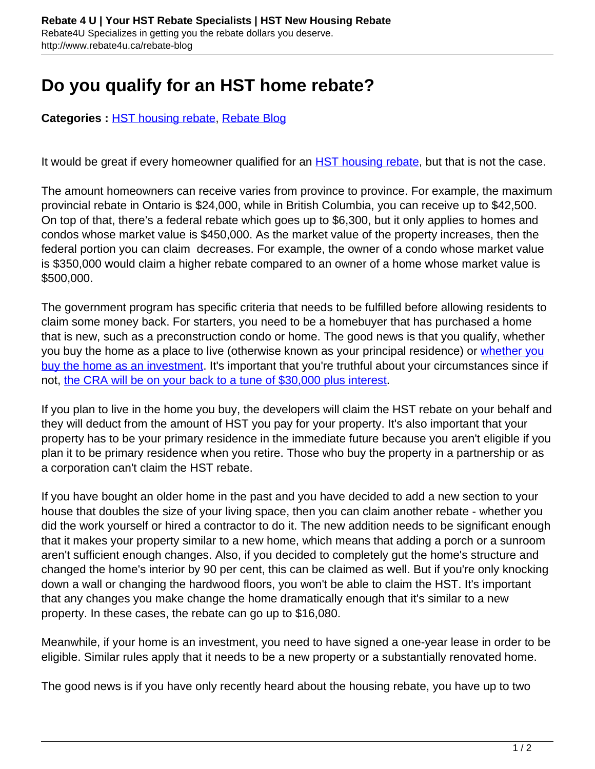## **Do you qualify for an HST home rebate?**

**Categories :** [HST housing rebate,](http://www.rebate4u.ca/rebate-blog/category/hst-housing-rebate/) [Rebate Blog](http://www.rebate4u.ca/rebate-blog/category/rebate-blog/)

It would be great if every homeowner qualified for an **[HST housing rebate](http://www.rebate4u.ca/hst-housing-rebate/)**, but that is not the case.

The amount homeowners can receive varies from province to province. For example, the maximum provincial rebate in Ontario is \$24,000, while in British Columbia, you can receive up to \$42,500. On top of that, there's a federal rebate which goes up to \$6,300, but it only applies to homes and condos whose market value is \$450,000. As the market value of the property increases, then the federal portion you can claim decreases. For example, the owner of a condo whose market value is \$350,000 would claim a higher rebate compared to an owner of a home whose market value is \$500,000.

The government program has specific criteria that needs to be fulfilled before allowing residents to claim some money back. For starters, you need to be a homebuyer that has purchased a home that is new, such as a preconstruction condo or home. The good news is that you qualify, whether you buy the home as a place to live (otherwise known as your principal residence) or [whether you](http://www.rebate4u.ca/eligible-hst-rebate-investor/) [buy the home as an investment](http://www.rebate4u.ca/eligible-hst-rebate-investor/). It's important that you're truthful about your circumstances since if not, [the CRA will be on your back to a tune of \\$30,000 plus interest](http://www.rebate4u.ca/cra-clawback-hst-rebate-interest/).

If you plan to live in the home you buy, the developers will claim the HST rebate on your behalf and they will deduct from the amount of HST you pay for your property. It's also important that your property has to be your primary residence in the immediate future because you aren't eligible if you plan it to be primary residence when you retire. Those who buy the property in a partnership or as a corporation can't claim the HST rebate.

If you have bought an older home in the past and you have decided to add a new section to your house that doubles the size of your living space, then you can claim another rebate - whether you did the work yourself or hired a contractor to do it. The new addition needs to be significant enough that it makes your property similar to a new home, which means that adding a porch or a sunroom aren't sufficient enough changes. Also, if you decided to completely gut the home's structure and changed the home's interior by 90 per cent, this can be claimed as well. But if you're only knocking down a wall or changing the hardwood floors, you won't be able to claim the HST. It's important that any changes you make change the home dramatically enough that it's similar to a new property. In these cases, the rebate can go up to \$16,080.

Meanwhile, if your home is an investment, you need to have signed a one-year lease in order to be eligible. Similar rules apply that it needs to be a new property or a substantially renovated home.

The good news is if you have only recently heard about the housing rebate, you have up to two